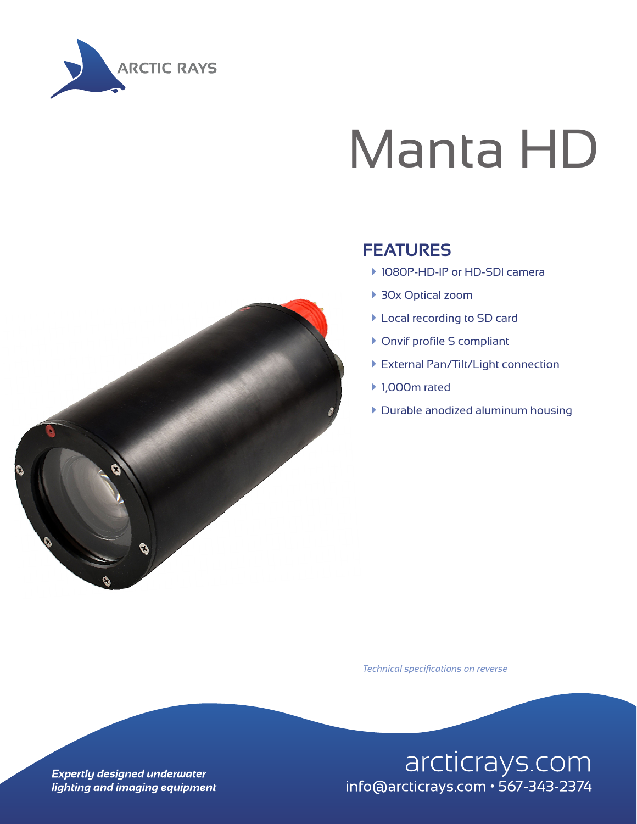

## Manta HD



#### **FEATURES**

- ▶ 1080P-HD-IP or HD-SDI camera
- ▶ 30x Optical zoom
- à Local recording to SD card
- **Onvif profile S compliant**
- **External Pan/Tilt/Light connection**
- ▶ 1,000m rated
- $\triangleright$  Durable anodized aluminum housing

*Technical specifications on reverse*

arcticrays.com info@arcticrays.com · 567-343-2374

**Expertly designed underwater** lighting and imaging equipment